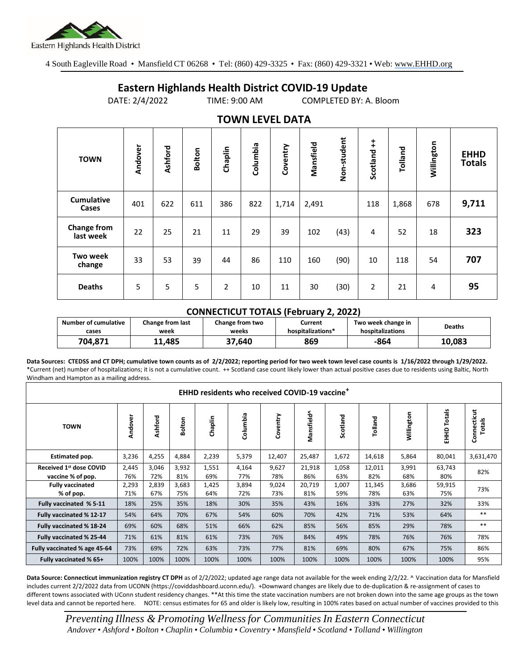

4 South Eagleville Road • Mansfield CT 06268 • Tel: (860) 429-3325 • Fax: (860) 429-3321 • Web: www.EHHD.org

## **Eastern Highlands Health District COVID-19 Update**

DATE: 2/4/2022 TIME: 9:00 AM COMPLETED BY: A. Bloom

| $19.111$ is the set of $17$ |         |         |        |                |          |          |           |             |                        |         |            |                              |
|-----------------------------|---------|---------|--------|----------------|----------|----------|-----------|-------------|------------------------|---------|------------|------------------------------|
| <b>TOWN</b>                 | Andover | Ashford | Bolton | Chaplin        | Columbia | Coventry | Mansfield | Non-student | $\ddagger$<br>Scotland | Tolland | Willington | <b>EHHD</b><br><b>Totals</b> |
| <b>Cumulative</b><br>Cases  | 401     | 622     | 611    | 386            | 822      | 1,714    | 2,491     |             | 118                    | 1,868   | 678        | 9,711                        |
| Change from<br>last week    | 22      | 25      | 21     | 11             | 29       | 39       | 102       | (43)        | 4                      | 52      | 18         | 323                          |
| <b>Two week</b><br>change   | 33      | 53      | 39     | 44             | 86       | 110      | 160       | (90)        | 10                     | 118     | 54         | 707                          |
| <b>Deaths</b>               | 5       | 5       | 5      | $\overline{2}$ | 10       | 11       | 30        | (30)        | 2                      | 21      | 4          | 95                           |

## **TOWN LEVEL DATA**

## **CONNECTICUT TOTALS (February 2, 2022)**

| Number of cumulative | Change from last | Change from two | Current           | Two week change in | Deaths |
|----------------------|------------------|-----------------|-------------------|--------------------|--------|
| cases                | week             | weeks           | hospitalizations* | hospitalizations   |        |
| 704.871              | 485. ـ ـ         | 37.640          | 869               | -864               | 10,083 |

**Data Sources: CTEDSS and CT DPH; cumulative town counts as of 2/2/2022; reporting period for two week town level case counts is 1/16/2022 through 1/29/2022.** \*Current (net) number of hospitalizations; it is not a cumulative count. ++ Scotland case count likely lower than actual positive cases due to residents using Baltic, North Windham and Hampton as a mailing address.

| EHHD residents who received COVID-19 vaccine <sup>+</sup> |              |              |              |              |              |              |               |              |               |              |                  |                       |
|-----------------------------------------------------------|--------------|--------------|--------------|--------------|--------------|--------------|---------------|--------------|---------------|--------------|------------------|-----------------------|
| <b>TOWN</b>                                               | Andover      | Ashford      | Bolton       | Chaplin      | Columbia     | Coventry     | Mansfield^    | Scotland     | Tolland       | Willington   | Totals<br>오<br>도 | Connecticut<br>Totals |
| Estimated pop.                                            | 3,236        | 4,255        | 4,884        | 2,239        | 5,379        | 12,407       | 25,487        | 1,672        | 14,618        | 5,864        | 80,041           | 3,631,470             |
| Received 1 <sup>st</sup> dose COVID<br>vaccine % of pop.  | 2,445<br>76% | 3,046<br>72% | 3,932<br>81% | 1,551<br>69% | 4,164<br>77% | 9,627<br>78% | 21,918<br>86% | 1,058<br>63% | 12,011<br>82% | 3,991<br>68% | 63,743<br>80%    | 82%                   |
| <b>Fully vaccinated</b><br>% of pop.                      | 2,293<br>71% | 2,839<br>67% | 3,683<br>75% | 1,425<br>64% | 3,894<br>72% | 9,024<br>73% | 20,719<br>81% | 1,007<br>59% | 11,345<br>78% | 3,686<br>63% | 59,915<br>75%    | 73%                   |
| Fully vaccinated % 5-11                                   | 18%          | 25%          | 35%          | 18%          | 30%          | 35%          | 43%           | 16%          | 33%           | 27%          | 32%              | 33%                   |
| Fully vaccinated % 12-17                                  | 54%          | 64%          | 70%          | 67%          | 54%          | 60%          | 70%           | 42%          | 71%           | 53%          | 64%              | $***$                 |
| Fully vaccinated % 18-24                                  | 69%          | 60%          | 68%          | 51%          | 66%          | 62%          | 85%           | 56%          | 85%           | 29%          | 78%              | $***$                 |
| Fully vaccinated % 25-44                                  | 71%          | 61%          | 81%          | 61%          | 73%          | 76%          | 84%           | 49%          | 78%           | 76%          | 76%              | 78%                   |
| Fully vaccinated % age 45-64                              | 73%          | 69%          | 72%          | 63%          | 73%          | 77%          | 81%           | 69%          | 80%           | 67%          | 75%              | 86%                   |
| Fully vaccinated % 65+                                    | 100%         | 100%         | 100%         | 100%         | 100%         | 100%         | 100%          | 100%         | 100%          | 100%         | 100%             | 95%                   |

Data Source: Connecticut immunization registry CT DPH as of 2/2/2022; updated age range data not available for the week ending 2/2/22. ^ Vaccination data for Mansfield includes current 2/2/2022 data from UCONN (https://coviddashboard.uconn.edu/). +Downward changes are likely due to de-duplication & re-assignment of cases to different towns associated with UConn student residency changes. \*\*At this time the state vaccination numbers are not broken down into the same age groups as the town level data and cannot be reported here. NOTE: census estimates for 65 and older is likely low, resulting in 100% rates based on actual number of vaccines provided to this

*Preventing Illness & Promoting Wellnessfor Communities In Eastern Connecticut* Andover • Ashford • Bolton • Chaplin • Columbia • Coventry • Mansfield • Scotland • Tolland • Willington